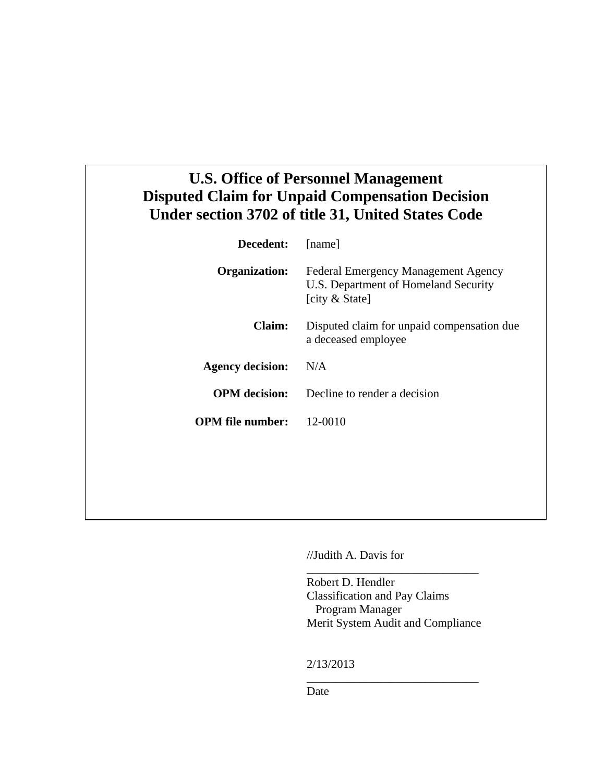## **U.S. Office of Personnel Management Disputed Claim for Unpaid Compensation Decision Under section 3702 of title 31, United States Code**

| Decedent:               | [name]                                                                                               |
|-------------------------|------------------------------------------------------------------------------------------------------|
| <b>Organization:</b>    | <b>Federal Emergency Management Agency</b><br>U.S. Department of Homeland Security<br>[city & State] |
| Claim:                  | Disputed claim for unpaid compensation due<br>a deceased employee                                    |
| <b>Agency decision:</b> | N/A                                                                                                  |
| <b>OPM</b> decision:    | Decline to render a decision                                                                         |
| <b>OPM</b> file number: | 12-0010                                                                                              |
|                         |                                                                                                      |

//Judith A. Davis for

Robert D. Hendler Classification and Pay Claims Program Manager Merit System Audit and Compliance

\_\_\_\_\_\_\_\_\_\_\_\_\_\_\_\_\_\_\_\_\_\_\_\_\_\_\_\_\_

\_\_\_\_\_\_\_\_\_\_\_\_\_\_\_\_\_\_\_\_\_\_\_\_\_\_\_\_\_

2/13/2013

Date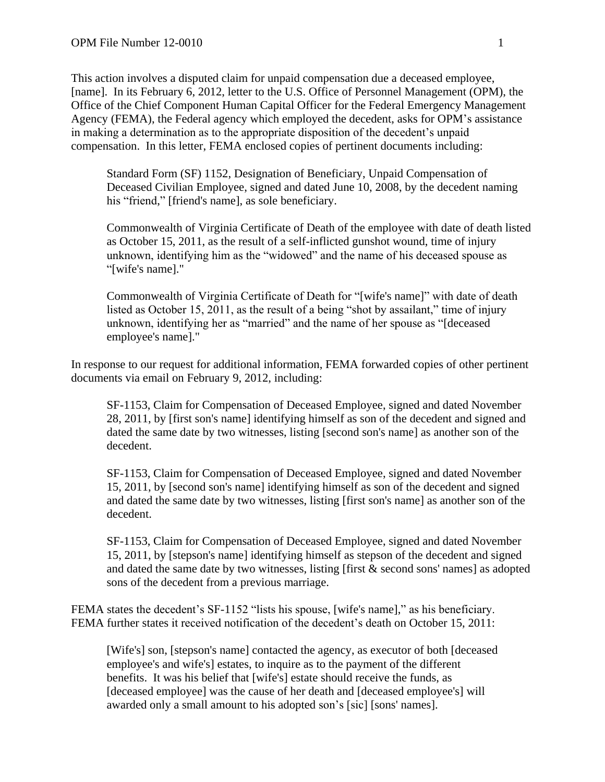This action involves a disputed claim for unpaid compensation due a deceased employee, [name]. In its February 6, 2012, letter to the U.S. Office of Personnel Management (OPM), the Office of the Chief Component Human Capital Officer for the Federal Emergency Management Agency (FEMA), the Federal agency which employed the decedent, asks for OPM's assistance in making a determination as to the appropriate disposition of the decedent's unpaid compensation. In this letter, FEMA enclosed copies of pertinent documents including:

Standard Form (SF) 1152, Designation of Beneficiary, Unpaid Compensation of Deceased Civilian Employee, signed and dated June 10, 2008, by the decedent naming his "friend," [friend's name], as sole beneficiary.

Commonwealth of Virginia Certificate of Death of the employee with date of death listed as October 15, 2011, as the result of a self-inflicted gunshot wound, time of injury unknown, identifying him as the "widowed" and the name of his deceased spouse as "[wife's name]."

Commonwealth of Virginia Certificate of Death for "[wife's name]" with date of death listed as October 15, 2011, as the result of a being "shot by assailant," time of injury unknown, identifying her as "married" and the name of her spouse as "[deceased employee's name]."

In response to our request for additional information, FEMA forwarded copies of other pertinent documents via email on February 9, 2012, including:

SF-1153, Claim for Compensation of Deceased Employee, signed and dated November 28, 2011, by [first son's name] identifying himself as son of the decedent and signed and dated the same date by two witnesses, listing [second son's name] as another son of the decedent.

SF-1153, Claim for Compensation of Deceased Employee, signed and dated November 15, 2011, by [second son's name] identifying himself as son of the decedent and signed and dated the same date by two witnesses, listing [first son's name] as another son of the decedent.

SF-1153, Claim for Compensation of Deceased Employee, signed and dated November 15, 2011, by [stepson's name] identifying himself as stepson of the decedent and signed and dated the same date by two witnesses, listing [first & second sons' names] as adopted sons of the decedent from a previous marriage.

FEMA states the decedent's SF-1152 "lists his spouse, [wife's name]," as his beneficiary. FEMA further states it received notification of the decedent's death on October 15, 2011:

[Wife's] son, [stepson's name] contacted the agency, as executor of both [deceased employee's and wife's] estates, to inquire as to the payment of the different benefits. It was his belief that [wife's] estate should receive the funds, as [deceased employee] was the cause of her death and [deceased employee's] will awarded only a small amount to his adopted son's [sic] [sons' names].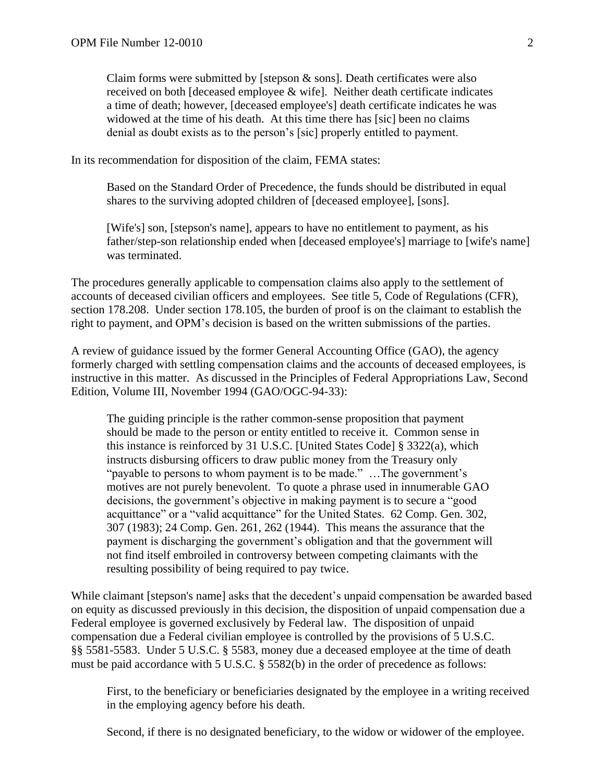Claim forms were submitted by [stepson & sons]. Death certificates were also received on both [deceased employee & wife]. Neither death certificate indicates a time of death; however, [deceased employee's] death certificate indicates he was widowed at the time of his death. At this time there has [sic] been no claims denial as doubt exists as to the person's [sic] properly entitled to payment.

In its recommendation for disposition of the claim, FEMA states:

Based on the Standard Order of Precedence, the funds should be distributed in equal shares to the surviving adopted children of [deceased employee], [sons].

[Wife's] son, [stepson's name], appears to have no entitlement to payment, as his father/step-son relationship ended when [deceased employee's] marriage to [wife's name] was terminated.

The procedures generally applicable to compensation claims also apply to the settlement of accounts of deceased civilian officers and employees. See title 5, Code of Regulations (CFR), section 178.208. Under section 178.105, the burden of proof is on the claimant to establish the right to payment, and OPM's decision is based on the written submissions of the parties.

A review of guidance issued by the former General Accounting Office (GAO), the agency formerly charged with settling compensation claims and the accounts of deceased employees, is instructive in this matter. As discussed in the Principles of Federal Appropriations Law, Second Edition, Volume III, November 1994 (GAO/OGC-94-33):

The guiding principle is the rather common-sense proposition that payment should be made to the person or entity entitled to receive it. Common sense in this instance is reinforced by 31 U.S.C. [United States Code] § 3322(a), which instructs disbursing officers to draw public money from the Treasury only "payable to persons to whom payment is to be made." …The government's motives are not purely benevolent. To quote a phrase used in innumerable GAO decisions, the government's objective in making payment is to secure a "good acquittance" or a "valid acquittance" for the United States. 62 Comp. Gen. 302, 307 (1983); 24 Comp. Gen. 261, 262 (1944). This means the assurance that the payment is discharging the government's obligation and that the government will not find itself embroiled in controversy between competing claimants with the resulting possibility of being required to pay twice.

While claimant [stepson's name] asks that the decedent's unpaid compensation be awarded based on equity as discussed previously in this decision, the disposition of unpaid compensation due a Federal employee is governed exclusively by Federal law. The disposition of unpaid compensation due a Federal civilian employee is controlled by the provisions of 5 U.S.C. §§ 5581-5583. Under 5 U.S.C. § 5583, money due a deceased employee at the time of death must be paid accordance with 5 U.S.C. § 5582(b) in the order of precedence as follows:

First, to the beneficiary or beneficiaries designated by the employee in a writing received in the employing agency before his death.

Second, if there is no designated beneficiary, to the widow or widower of the employee.